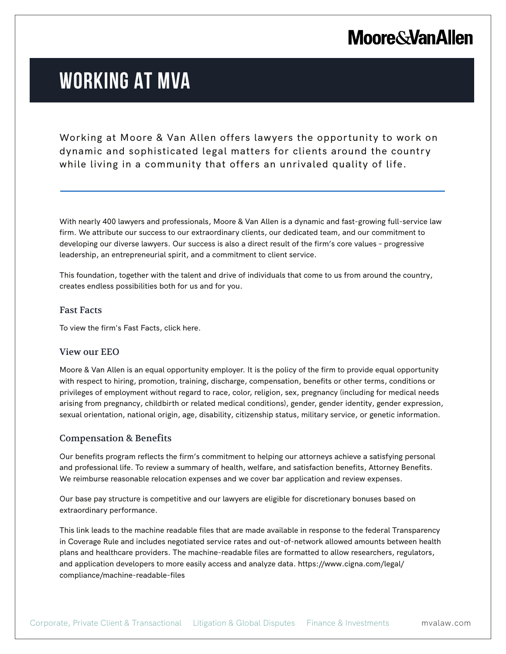## **Moore & Van Allen**

# **WORKING AT MVA**

Working at Moore & Van Allen offers lawyers the opportunity to work on dynamic and sophisticated legal matters for clients around the country while living in a community that offers an unrivaled quality of life.

With nearly 400 lawyers and professionals, Moore & Van Allen is a dynamic and fast-growing full-service law firm. We attribute our success to our extraordinary clients, our dedicated team, and our commitment to developing our diverse lawyers. Our success is also a direct result of the firm's core values – progressive leadership, an entrepreneurial spirit, and a commitment to client service.

This foundation, together with the talent and drive of individuals that come to us from around the country, creates endless possibilities both for us and for you.

#### Fast Facts

l.

To view the firm's Fast Facts, click here.

### View our EEO

Moore & Van Allen is an equal opportunity employer. It is the policy of the firm to provide equal opportunity with respect to hiring, promotion, training, discharge, compensation, benefits or other terms, conditions or privileges of employment without regard to race, color, religion, sex, pregnancy (including for medical needs arising from pregnancy, childbirth or related medical conditions), gender, gender identity, gender expression, sexual orientation, national origin, age, disability, citizenship status, military service, or genetic information.

### Compensation & Benefits

Our benefits program reflects the firm's commitment to helping our attorneys achieve a satisfying personal and professional life. To review a summary of health, welfare, and satisfaction benefits, Attorney Benefits. We reimburse reasonable relocation expenses and we cover bar application and review expenses.

Our base pay structure is competitive and our lawyers are eligible for discretionary bonuses based on extraordinary performance.

This link leads to the machine readable files that are made available in response to the federal Transparency in Coverage Rule and includes negotiated service rates and out-of-network allowed amounts between health plans and healthcare providers. The machine-readable files are formatted to allow researchers, regulators, and application developers to more easily access and analyze data. https://www.cigna.com/legal/ compliance/machine-readable-files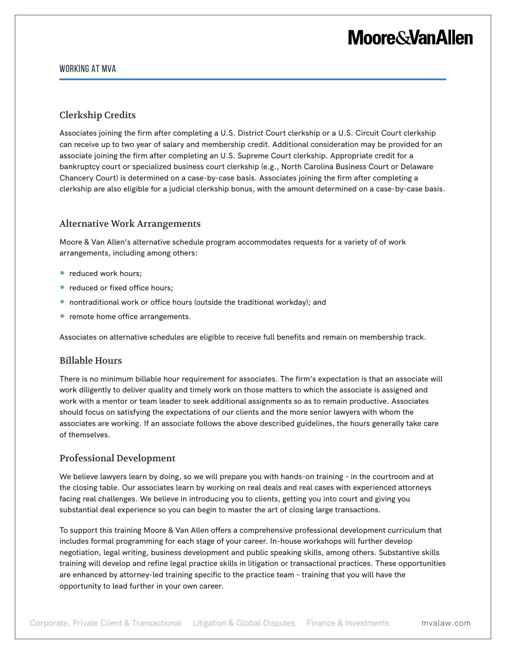# **Moore&VanAllen**

#### WORKING AT MVA

## Clerkship Credits

Associates joining the firm after completing a U.S. District Court clerkship or a U.S. Circuit Court clerkship can receive up to two year of salary and membership credit. Additional consideration may be provided for an associate joining the firm after completing an U.S. Supreme Court clerkship. Appropriate credit for a bankruptcy court or specialized business court clerkship (e.g., North Carolina Business Court or Delaware Chancery Court) is determined on a case-by-case basis. Associates joining the firm after completing a clerkship are also eligible for a judicial clerkship bonus, with the amount determined on a case-by-case basis.

### Alternative Work Arrangements

Moore & Van Allen's alternative schedule program accommodates requests for a variety of of work arrangements, including among others:

- reduced work hours;
- reduced or fixed office hours;
- nontraditional work or office hours (outside the traditional workday); and
- remote home office arrangements.

Associates on alternative schedules are eligible to receive full benefits and remain on membership track.

### Billable Hours

There is no minimum billable hour requirement for associates. The firm's expectation is that an associate will work diligently to deliver quality and timely work on those matters to which the associate is assigned and work with a mentor or team leader to seek additional assignments so as to remain productive. Associates should focus on satisfying the expectations of our clients and the more senior lawyers with whom the associates are working. If an associate follows the above described guidelines, the hours generally take care of themselves.

### Professional Development

We believe lawyers learn by doing, so we will prepare you with hands-on training – in the courtroom and at the closing table. Our associates learn by working on real deals and real cases with experienced attorneys facing real challenges. We believe in introducing you to clients, getting you into court and giving you substantial deal experience so you can begin to master the art of closing large transactions.

To support this training Moore & Van Allen offers a comprehensive professional development curriculum that includes formal programming for each stage of your career. In-house workshops will further develop negotiation, legal writing, business development and public speaking skills, among others. Substantive skills training will develop and refine legal practice skills in litigation or transactional practices. These opportunities are enhanced by attorney-led training specific to the practice team – training that you will have the opportunity to lead further in your own career.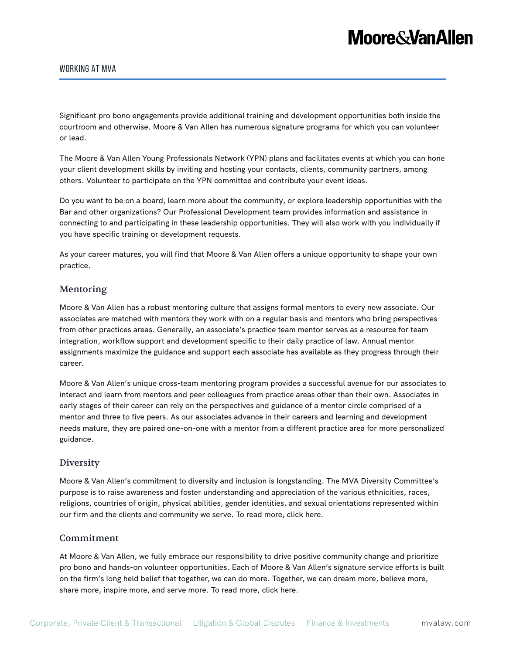# **Moore&VanAllen**

#### WORKING AT MVA

Significant pro bono engagements provide additional training and development opportunities both inside the courtroom and otherwise. Moore & Van Allen has numerous signature programs for which you can volunteer or lead.

The Moore & Van Allen Young Professionals Network (YPN) plans and facilitates events at which you can hone your client development skills by inviting and hosting your contacts, clients, community partners, among others. Volunteer to participate on the YPN committee and contribute your event ideas.

Do you want to be on a board, learn more about the community, or explore leadership opportunities with the Bar and other organizations? Our Professional Development team provides information and assistance in connecting to and participating in these leadership opportunities. They will also work with you individually if you have specific training or development requests.

As your career matures, you will find that Moore & Van Allen offers a unique opportunity to shape your own practice.

### Mentoring

Moore & Van Allen has a robust mentoring culture that assigns formal mentors to every new associate. Our associates are matched with mentors they work with on a regular basis and mentors who bring perspectives from other practices areas. Generally, an associate's practice team mentor serves as a resource for team integration, workflow support and development specific to their daily practice of law. Annual mentor assignments maximize the guidance and support each associate has available as they progress through their career.

Moore & Van Allen's unique cross-team mentoring program provides a successful avenue for our associates to interact and learn from mentors and peer colleagues from practice areas other than their own. Associates in early stages of their career can rely on the perspectives and guidance of a mentor circle comprised of a mentor and three to five peers. As our associates advance in their careers and learning and development needs mature, they are paired one-on-one with a mentor from a different practice area for more personalized guidance.

#### Diversity

Moore & Van Allen's commitment to diversity and inclusion is longstanding. The MVA Diversity Committee's purpose is to raise awareness and foster understanding and appreciation of the various ethnicities, races, religions, countries of origin, physical abilities, gender identities, and sexual orientations represented within our firm and the clients and community we serve. To read more, click here.

#### Commitment

At Moore & Van Allen, we fully embrace our responsibility to drive positive community change and prioritize pro bono and hands-on volunteer opportunities. Each of Moore & Van Allen's signature service efforts is built on the firm's long held belief that together, we can do more. Together, we can dream more, believe more, share more, inspire more, and serve more. To read more, click here.